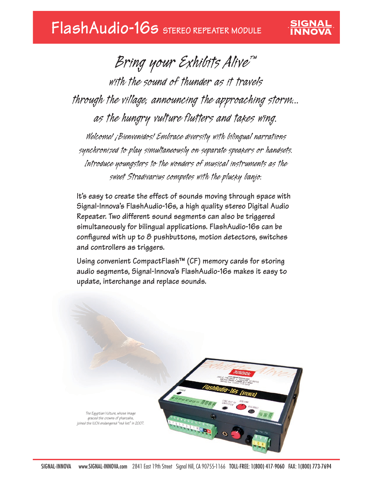# **FlashAudio-16s STEREO REPEATER MODULE**

*Bring your Exhibits Alive™ with the sound of thunder as it travels through the village, announcing the approaching storm... as the hungry vulture flutters and takes wing. Welcome! ¡Bienvenidos! Embrace diversity with bilingual narrations synchronized to play simultaneously on separate speakers or handsets. Introduce youngsters to the wonders of musical instruments as the*

SIGNAL

*sweet Stradivarius competes with the plucky banjo.* 

**It's easy to create the effect of sounds moving through space with Signal-Innova's FlashAudio-16s, a high quality stereo Digital Audio Repeater. Two different sound segments can also be triggered simultaneously for bilingual applications. FlashAudio-16s can be configured with up to 8 pushbuttons, motion detectors, switches and controllers as triggers.**

**Using convenient CompactFlash™ (CF) memory cards for storing audio segments, Signal-Innova's FlashAudio-16s makes it easy to update, interchange and replace sounds.**